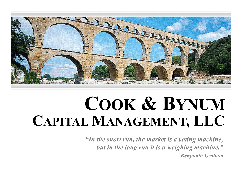

# **COOK & BYNUMCAPITAL MANAGEMENT, LLC**

*"In the short run, the market is a voting machine, but in the long run it is a weighing machine." ─ Benjamin Graham*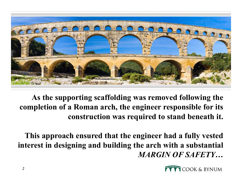

**As the supporting scaffolding was removed following the completion of a Roman arch, the engineer responsible for its construction was required to stand beneath it.**

**This approach ensured that the engineer had a fully vested interest in designing and building the arch with a substantial**  *MARGIN OF SAFETY***…**

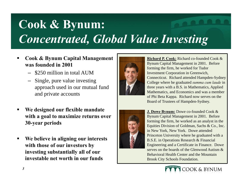# **Cook & Bynum:**  *Concentrated, Global Value Investing*

- $\blacksquare$  **Cook & Bynum Capital Management was founded in 2001**
	- \$250 million in total AUM
	- Single, pure value investing approach used in our mutual fund and private accounts
- $\blacksquare$  **We designed our flexible mandate with a goal to maximize returns over 30-year periods**
- $\blacksquare$  **We believe in aligning our interests with those of our investors by investing substantially all of our investable net worth in our funds**



**Richard P. Cook:** Richard co-founded Cook & Bynum Capital Management in 2001. Before forming the firm, he worked for Tudor Investment Corporation in Greenwich, Connecticut. Richard attended Hampden-Sydney College where he graduated *summa cum laude* in three years with a B.S. in Mathematics, Applied Mathematics, and Economics and was a member of Phi Beta Kappa. Richard now serves on the Board of Trustees of Hampden-Sydney.



**J. Dowe Bynum:** Dowe co-founded Cook & Bynum Capital Management in 2001. Before forming the firm, he worked as an analyst in the Equities Division of Goldman, Sachs & Co., Inc. in New York, New York. Dowe attended Princeton University where he graduated with a B.S.E. in Operations Research & Financial Engineering and a Certificate in Finance. Dowe serves on the boards of the Glenwood Autism & Behavioral Health Center and the Mountain Brook City Schools Foundation.

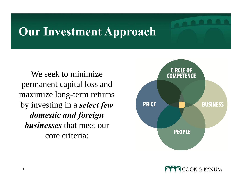### **Our Investment Approach**

We seek to minimize permanent capital loss and maximize long-term returns by investing in a *select few domestic and foreign businesses* that meet our core criteria:



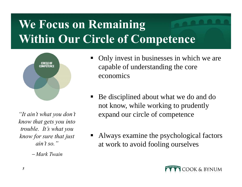# **We Focus on Remaining Within Our Circle of Competence**



*"It ain't what you don't know that gets you into trouble. It's what you know for sure that just ain't so."*

− *Mark Twain*

- E Only invest in businesses in which we are capable of understanding the core economics
- L Be disciplined about what we do and do not know, while working to prudently expand our circle of competence
- L Always examine the psychological factors at work to avoid fooling ourselves

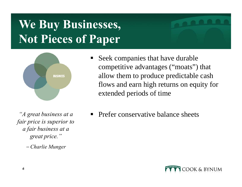# **We Buy Businesses, Not Pieces of Paper**



*"A great business at a fair price is superior to a fair business at a great price."*

− *Charlie Munger*

- E Seek companies that have durable competitive advantages ("moats") that allow them to produce predictable cash flows and earn high returns on equity for extended periods of time
- E Prefer conservative balance sheets

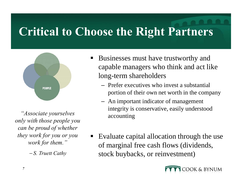### **Critical to Choose the Right Partners**



*"Associate yourselves only with those people you can be proud of whether they work for you or you work for them."*

− *S. Truett Cathy*

- E Businesses must have trustworthy and capable managers who think and act like long-term shareholders
	- Prefer executives who invest a substantial portion of their own net worth in the company
	- An important indicator of management integrity is conservative, easily understood accounting
- $\blacksquare$  Evaluate capital allocation through the use of marginal free cash flows (dividends, stock buybacks, or reinvestment)

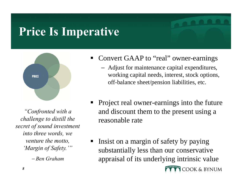### **Price Is Imperative**



*"Confronted with a challenge to distill the secret of sound investment into three words, we venture the motto, 'Margin of Safety.'"*

− *Ben Graham*

- E Convert GAAP to "real" owner-earnings
	- Adjust for maintenance capital expenditures, working capital needs, interest, stock options, off-balance sheet/pension liabilities, etc.
- E Project real owner-earnings into the future and discount them to the present using a reasonable rate
- Insist on a margin of safety by paying E substantially less than our conservative appraisal of its underlying intrinsic value COOK & BYNUM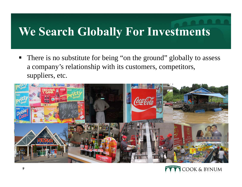### **We Search Globally For Investments**

There is no substitute for being "on the ground" globally to assess a company's relationship with its customers, competitors, suppliers, etc.



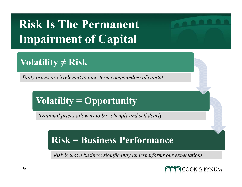# **Risk Is The Permanent Impairment of Capital**

#### **Volatility ≠ Risk**

*Daily prices are irrelevant to long-term compounding of capital*

#### **Volatility = Opportunity**

*Irrational prices allow us to buy cheaply and sell dearly*

#### **Risk = Business Performance**

*Risk is that a business significantly underperforms our expectations*

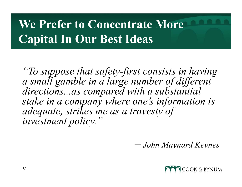# **We Prefer to Concentrate More Capital In Our Best Ideas**

*"To suppose that safety-first consists in having a small gamble in a large number of different directions...as compared with a substantial stake in a company where one's information is adequate, strikes me as a travesty of investment policy."*

*─ John Maynard Keynes*

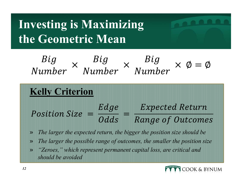# **Investing is Maximizing the Geometric Mean**



- »*The larger the expected return, the bigger the position size should be*
- $\mathcal{V}$ *The larger the possible range of outcomes, the smaller the position size*
- » *"Zeroes," which represent permanent capital loss, are critical and should be avoided*

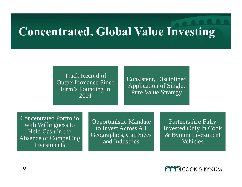### **Concentrated, Global Value Investing**

Track Record of Outperformance Since Firm's Founding in 2001

Consistent, Disciplined Application of Single, Pure Value Strategy

Concentrated Portfolio with Willingness to Hold Cash in the Absence of Compelling Investments

Opportunistic Mandate to Invest Across All Geographies, Cap Sizes and Industries

Partners Are Fully Invested Only in Cook & Bynum Investment **Vehicles**